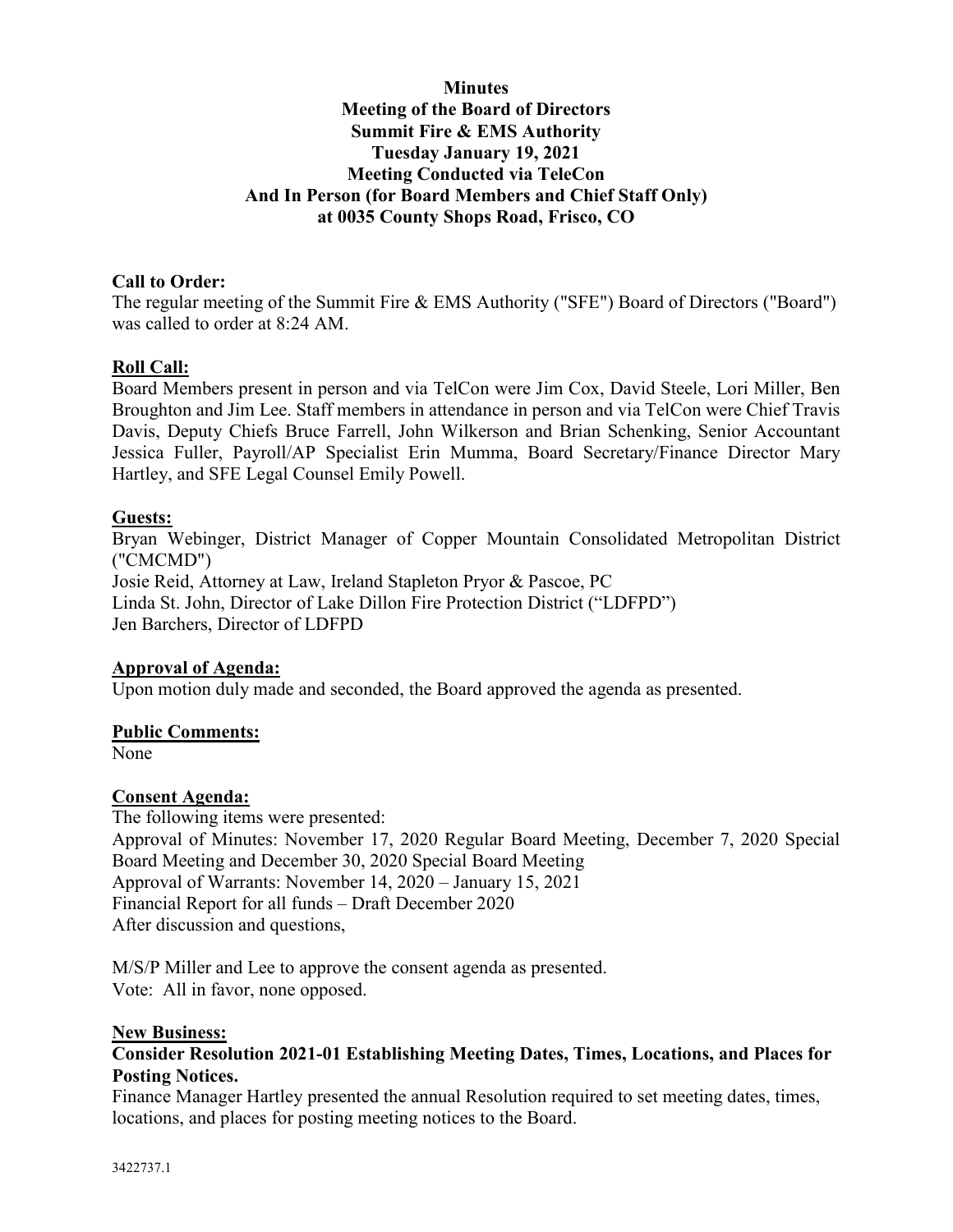# **Minutes Meeting of the Board of Directors Summit Fire & EMS Authority Tuesday January 19, 2021 Meeting Conducted via TeleCon And In Person (for Board Members and Chief Staff Only) at 0035 County Shops Road, Frisco, CO**

# **Call to Order:**

The regular meeting of the Summit Fire & EMS Authority ("SFE") Board of Directors ("Board") was called to order at 8:24 AM.

# **Roll Call:**

Board Members present in person and via TelCon were Jim Cox, David Steele, Lori Miller, Ben Broughton and Jim Lee. Staff members in attendance in person and via TelCon were Chief Travis Davis, Deputy Chiefs Bruce Farrell, John Wilkerson and Brian Schenking, Senior Accountant Jessica Fuller, Payroll/AP Specialist Erin Mumma, Board Secretary/Finance Director Mary Hartley, and SFE Legal Counsel Emily Powell.

# **Guests:**

Bryan Webinger, District Manager of Copper Mountain Consolidated Metropolitan District ("CMCMD") Josie Reid, Attorney at Law, Ireland Stapleton Pryor & Pascoe, PC Linda St. John, Director of Lake Dillon Fire Protection District ("LDFPD") Jen Barchers, Director of LDFPD

# **Approval of Agenda:**

Upon motion duly made and seconded, the Board approved the agenda as presented.

# **Public Comments:**

None

# **Consent Agenda:**

The following items were presented: Approval of Minutes: November 17, 2020 Regular Board Meeting, December 7, 2020 Special Board Meeting and December 30, 2020 Special Board Meeting Approval of Warrants: November 14, 2020 – January 15, 2021 Financial Report for all funds – Draft December 2020 After discussion and questions,

M/S/P Miller and Lee to approve the consent agenda as presented. Vote: All in favor, none opposed.

#### **New Business:**

# **Consider Resolution 2021-01 Establishing Meeting Dates, Times, Locations, and Places for Posting Notices.**

Finance Manager Hartley presented the annual Resolution required to set meeting dates, times, locations, and places for posting meeting notices to the Board.